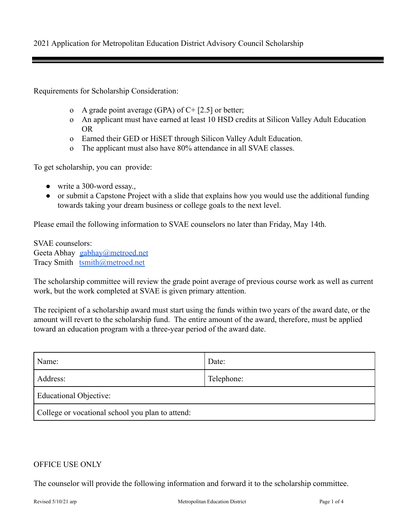2021 Application for Metropolitan Education District Advisory Council Scholarship

Requirements for Scholarship Consideration:

- o A grade point average (GPA) of  $C+[2.5]$  or better;
- o An applicant must have earned at least 10 HSD credits at Silicon Valley Adult Education OR
- o Earned their GED or HiSET through Silicon Valley Adult Education.
- o The applicant must also have 80% attendance in all SVAE classes.

To get scholarship, you can provide:

- $\bullet$  write a 300-word essay.
- or submit a Capstone Project with a slide that explains how you would use the additional funding towards taking your dream business or college goals to the next level.

Please email the following information to SVAE counselors no later than Friday, May 14th.

SVAE counselors: Geeta Abhay [gabhay@metroed.net](mailto:gabhay@metroed.net) Tracy Smith [tsmith@metroed.net](mailto:-tsmith@metroed.net)

The scholarship committee will review the grade point average of previous course work as well as current work, but the work completed at SVAE is given primary attention.

The recipient of a scholarship award must start using the funds within two years of the award date, or the amount will revert to the scholarship fund. The entire amount of the award, therefore, must be applied toward an education program with a three-year period of the award date.

| Name:                                            | Date:      |
|--------------------------------------------------|------------|
| Address:                                         | Telephone: |
| <b>Educational Objective:</b>                    |            |
| College or vocational school you plan to attend: |            |

## OFFICE USE ONLY

The counselor will provide the following information and forward it to the scholarship committee.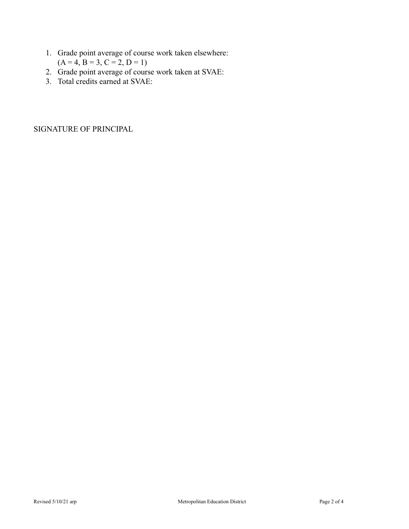- 1. Grade point average of course work taken elsewhere:  $(A = 4, B = 3, C = 2, D = 1)$
- 2. Grade point average of course work taken at SVAE:
- 3. Total credits earned at SVAE:

SIGNATURE OF PRINCIPAL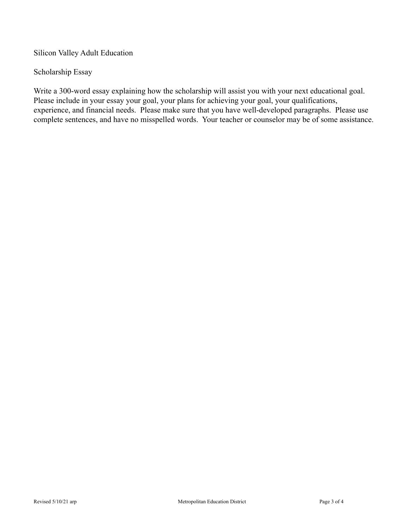Silicon Valley Adult Education

## Scholarship Essay

Write a 300-word essay explaining how the scholarship will assist you with your next educational goal. Please include in your essay your goal, your plans for achieving your goal, your qualifications, experience, and financial needs. Please make sure that you have well-developed paragraphs. Please use complete sentences, and have no misspelled words. Your teacher or counselor may be of some assistance.